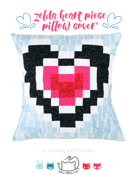



## **a sewing pattern by**

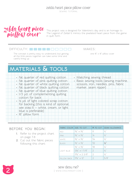sewing tutorial



This project was a designed for Valentine's day and is an homage to The Legend of Zelda! It mimics the pixelated heart piece from the game in quilt form.

#### difficulty: makes:

The concept is pretty easy to understand, but getting  $\qquad$  one 16" x 16" pillow cover all the little pieces together can take some time and careful lining up

# **materials & tools**

| · fat quarter of red quilting cotton<br>· fat quarter of pink quilting cotton<br>· fat quarter of white quilting cotton<br>· fat quarter of black quilting cotton<br>· fat quarter of blue quilting cotton | • Matching sewing thread<br>· Basic sewing tools (sewing machine,<br>scissors, iron, needles, pins, fabric<br>marker, seam ripper) |
|------------------------------------------------------------------------------------------------------------------------------------------------------------------------------------------------------------|------------------------------------------------------------------------------------------------------------------------------------|
| • 1/3 yd. of complementing quilting<br>cotton for back<br>. 1/2 yd. of light colored scrap cotton<br>for backing (this is kind of optional,                                                                |                                                                                                                                    |
| see step 6 -- white, cream, or light<br>blue is preferable)<br>· 16" pillow form                                                                                                                           |                                                                                                                                    |

#### **before you begin:**

- **1.** Refer to the project chart on page 7-8
- **2.** Cut out the fabric pieces following this chart:

| <b>FABRIC COLOR SIZE TO CUT</b> |                                        | # TO CUT      | <b>SEAM ALLOWANCE</b> |
|---------------------------------|----------------------------------------|---------------|-----------------------|
| <b>RED</b>                      | $1\frac{1}{2}$ $\times$ $1\frac{1}{2}$ | 8             | $\frac{1}{4}$         |
| <b>PINK</b>                     | $1/5'' \times 1/5''$                   | 14            | $\frac{1}{4}$         |
| <b>WHITE</b>                    | $1\frac{1}{3}$ $\times$ $1\frac{1}{3}$ | 54            | $\frac{1}{4}$         |
| BI ACK                          | $1\frac{1}{2}$ $\times$ $1\frac{1}{2}$ | 52            | $\frac{1}{4}$         |
| LIGHT BLUE                      | $1\frac{1}{2}$ $\times$ $1\frac{1}{2}$ | 56            | $\frac{1}{4}$         |
|                                 | $13\frac{1}{2}$ × 17/8"                | $\mathcal{D}$ | $\frac{1}{4}$         |
|                                 | $17\frac{1}{4} \times 23/8$            | 2             | $\frac{1}{4}$         |
| PILLOW BACK                     | $17\frac{1}{4} \times 12$ "            | 2             | 5/8"                  |

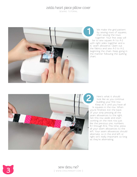sewing tutorial



We make the grid pattern by sewing rows of squares, then sewing the rows together. Your first step will be to sew square A-1 to A-2 with right sides together and a ¼" seam allowance. Open out the fabrics and sew A-3 to A-2, beginning the chain. Keep going in the manner following the quilting chart.



Here's what it should look like as you continue building your first row. Keep at it until you have all 14 squares in the row. When you're finished, iron the back of your strip pressing all the seam allowances to the right. Set this row aside and start working on the next row just like the previous one, numbers B-1 through B-14. This time, press all your seam allowances to the left. Your seam allowances should alternate, so in the end left or right isn't really important so long We make the g<br>by sewing rows<br>then sewing the<br>together. Your fir<br>be to sew square A<br>with right sides toget<br>Va" seam allowance. O<br>beginning the chain. K<br>the manner following<br>chart.<br>the manner following<br>chart.<br>Here's what it

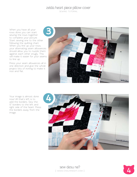sewing tutorial

When you have all your rows done you can start sewing the rows together to complete your picture. Start sewing one to the other following the quilting chart. When you line up your rows, your alternating seam allowances should allow you to nuzzle them against each other snugly. This will make it easier for your seams to line up.

Press your seam allowances all in one direction and give the whole project lots of ironing to make it nice and flat.



Your image is almost done now! All that's left is to add the borders. Sew the 13" borders to the left and right side of the heart. Press the borders away from the image.



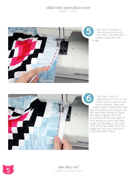sewing tutorial



Sew the 17" borders to the top and bottom of the heart, and press the borders away from the image.



This step is sort of optional, and I did it so the pillow cover could be more washer friendly. Take your scrap of light-colored fabric and layer it beneath your picture with the right sides facing up. Baste the layers together and this will enclose all the raw edges of your piecing so you're less likely to get any raveling in the wash. Trim the excess fabric from the edges and you now have your completed pillow front!



**5** sew desu ne?<br>I www.cholyknight.co | www.cholyknight.com |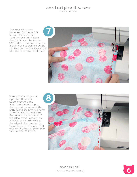sewing tutorial

Take your pillow back pieces and fold under 5/8" on one of the long (17") sides. Iron the fold in place, then fold it again by another 5/8" and iron it in place. Sew the folds in place to create a double fold hem on one side. Repeat this with the other pillow back piece.



With right sides together, layer the pillow back pieces over the pillow front. Line one piece up at the top and the other at the bottom and the hemmed edges should overlap in the middle. Sew around the perimeter of the pillow cover. I actually did a French seam with mine so the edges looked prettier, but it's up to you. Either way, stuff your cover with your pillow from because YOU'RE DONE!



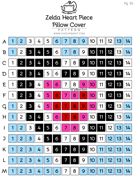